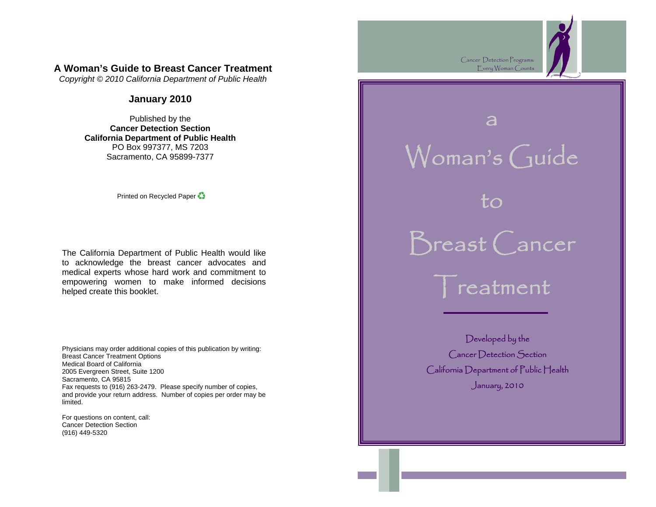## **A Woman's Guide to Breast Cancer Treatment**

*Copyright © 2010 California Department of Public Health* 

#### **January 2010**

Published by the **Cancer Detection Section California Department of Public Health** PO Box 997377, MS 7203 Sacramento, CA 95899-7377

Printed on Recycled Paper

The California Department of Public Health would like to acknowledge the breast cancer advocates and medical experts whose hard work and commitment to empowering women to make informed decisions helped create this booklet.

Physicians may order additional copies of this publication by writing: Breast Cancer Treatment Options Medical Board of California 2005 Evergreen Street, Suite 1200 Sacramento, CA 95815 Fax requests to (916) 263-2479. Please specify number of copies, and provide your return address. Number of copies per order may be limited.

For questions on content, call: Cancer Detection Section (916) 449-5320

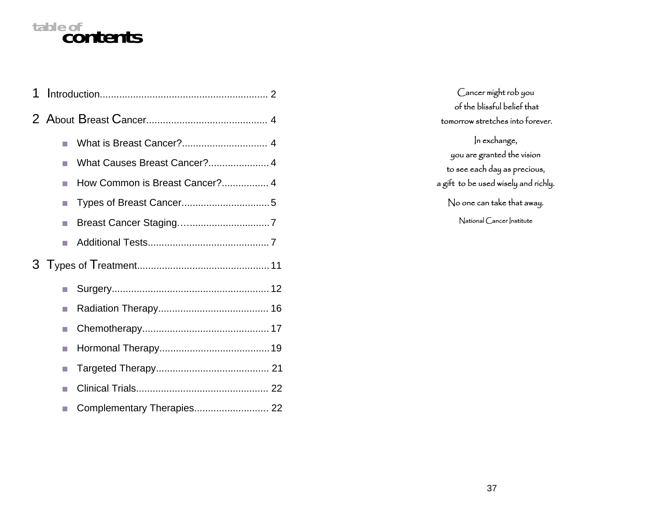# **table of contents**

| 1 |    |                                |
|---|----|--------------------------------|
|   |    |                                |
|   |    |                                |
|   |    | What Causes Breast Cancer? 4   |
|   |    | How Common is Breast Cancer? 4 |
|   |    |                                |
|   | n. |                                |
|   |    |                                |
|   |    |                                |
|   |    |                                |
|   |    |                                |
|   |    |                                |
|   | n. |                                |
|   |    |                                |
|   |    |                                |
|   |    |                                |

Cancer might rob you of the blissful belief that tomorrow stretches into forever. In exchange, you are granted the vision to see each day as precious, a gift to be used wisely and richly. No one can take that away. National Cancer Institute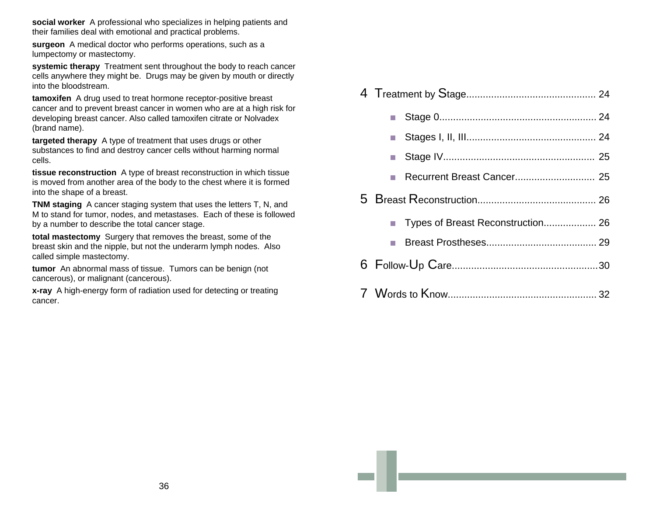**social worker** A professional who specializes in helping patients and their families deal with emotional and practical problems.

**surgeon** A medical doctor who performs operations, such as a lumpectomy or mastectomy.

**systemic therapy** Treatment sent throughout the body to reach cancer cells anywhere they might be. Drugs may be given by mouth or directly into the bloodstream.

**tamoxifen** A drug used to treat hormone receptor-positive breast cancer and to prevent breast cancer in women who are at a high risk for developing breast cancer. Also called tamoxifen citrate or Nolvadex (brand name).

**targeted therapy** A type of treatment that uses drugs or other substances to find and destroy cancer cells without harming normal cells.

**tissue reconstruction** A type of breast reconstruction in which tissue is moved from another area of the body to the chest where it is formed into the shape of a breast.

**TNM staging** A cancer staging system that uses the letters T, N, and M to stand for tumor, nodes, and metastases. Each of these is followed by a number to describe the total cancer stage.

**total mastectomy** Surgery that removes the breast, some of the breast skin and the nipple, but not the underarm lymph nodes. Also called simple mastectomy.

**tumor** An abnormal mass of tissue. Tumors can be benign (not cancerous), or malignant (cancerous).

**x-ray** A high-energy form of radiation used for detecting or treating cancer.

| Recurrent Breast Cancer 25        |  |  |
|-----------------------------------|--|--|
|                                   |  |  |
| Types of Breast Reconstruction 26 |  |  |
|                                   |  |  |
|                                   |  |  |
|                                   |  |  |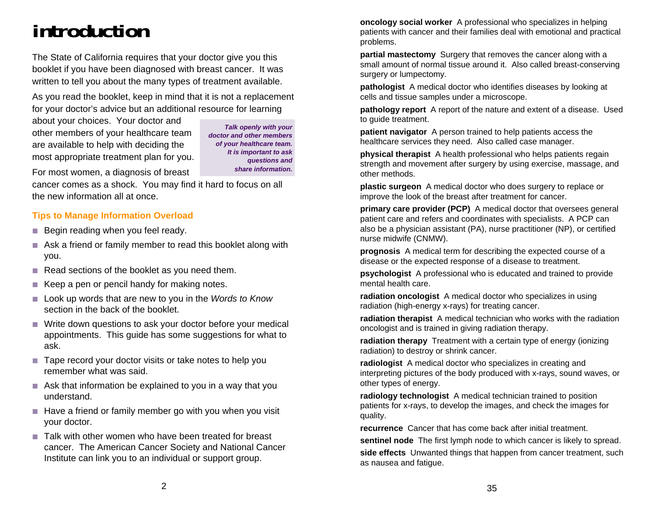# **introduction**

The State of California requires that your doctor give you this booklet if you have been diagnosed with breast cancer. It was written to tell you about the many types of treatment available.

As you read the booklet, keep in mind that it is not a replacement for your doctor's advice but an additional resource for learning

about your choices. Your doctor and other members of your healthcare team are available to help with deciding the most appropriate treatment plan for you.

*Talk openly with your doctor and other members of your healthcare team. It is important to ask questions and share information.* 

For most women, a diagnosis of breast cancer comes as a shock. You may find it hard to focus on all the new information all at once.

## **Tips to Manage Information Overload**

- $\blacksquare$  Begin reading when you feel ready.
- Ask a friend or family member to read this booklet along with you.
- Read sections of the booklet as you need them.
- $\blacksquare$  Keep a pen or pencil handy for making notes.
- Look up words that are new to you in the *Words to Know* section in the back of the booklet.
- Write down questions to ask your doctor before your medical appointments. This guide has some suggestions for what to ask.
- Tape record your doctor visits or take notes to help you remember what was said.
- Ask that information be explained to you in a way that you understand.
- $\blacksquare$  Have a friend or family member go with you when you visit your doctor.
- Talk with other women who have been treated for breast cancer. The American Cancer Society and National Cancer Institute can link you to an individual or support group.

**oncology social worker** A professional who specializes in helping patients with cancer and their families deal with emotional and practical problems.

**partial mastectomy** Surgery that removes the cancer along with a small amount of normal tissue around it. Also called breast-conserving surgery or lumpectomy.

**pathologist** A medical doctor who identifies diseases by looking at cells and tissue samples under a microscope.

**pathology report** A report of the nature and extent of a disease. Used to guide treatment.

**patient navigator** A person trained to help patients access the healthcare services they need. Also called case manager.

**physical therapist** A health professional who helps patients regain strength and movement after surgery by using exercise, massage, and other methods.

**plastic surgeon** A medical doctor who does surgery to replace or improve the look of the breast after treatment for cancer.

**primary care provider (PCP)** A medical doctor that oversees general patient care and refers and coordinates with specialists. A PCP can also be a physician assistant (PA), nurse practitioner (NP), or certified nurse midwife (CNMW).

**prognosis** A medical term for describing the expected course of a disease or the expected response of a disease to treatment.

**psychologist** A professional who is educated and trained to provide mental health care.

**radiation oncologist** A medical doctor who specializes in using radiation (high-energy x-rays) for treating cancer.

**radiation therapist** A medical technician who works with the radiation oncologist and is trained in giving radiation therapy.

**radiation therapy** Treatment with a certain type of energy (ionizing radiation) to destroy or shrink cancer.

**radiologist** A medical doctor who specializes in creating and interpreting pictures of the body produced with x-rays, sound waves, or other types of energy.

**radiology technologist** A medical technician trained to position patients for x-rays, to develop the images, and check the images for quality.

**recurrence** Cancer that has come back after initial treatment.

**sentinel node** The first lymph node to which cancer is likely to spread. **side effects** Unwanted things that happen from cancer treatment, such as nausea and fatigue.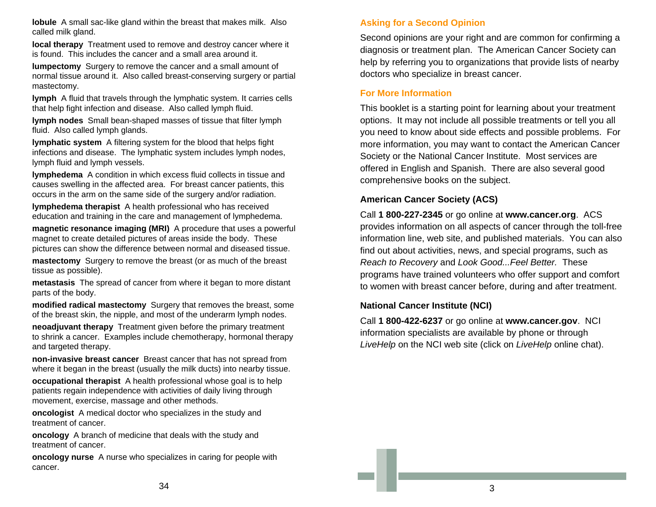**lobule** A small sac-like gland within the breast that makes milk. Also called milk gland.

**local therapy** Treatment used to remove and destroy cancer where it is found. This includes the cancer and a small area around it.

**lumpectomy** Surgery to remove the cancer and a small amount of normal tissue around it. Also called breast-conserving surgery or partial mastectomy.

**lymph** A fluid that travels through the lymphatic system. It carries cells that help fight infection and disease. Also called lymph fluid.

**lymph nodes** Small bean-shaped masses of tissue that filter lymph fluid. Also called lymph glands.

**lymphatic system** A filtering system for the blood that helps fight infections and disease. The lymphatic system includes lymph nodes, lymph fluid and lymph vessels.

**lymphedema** A condition in which excess fluid collects in tissue and causes swelling in the affected area. For breast cancer patients, this occurs in the arm on the same side of the surgery and/or radiation.

**lymphedema therapist** A health professional who has received education and training in the care and management of lymphedema.

**magnetic resonance imaging (MRI)** A procedure that uses a powerful magnet to create detailed pictures of areas inside the body. These pictures can show the difference between normal and diseased tissue.

**mastectomy** Surgery to remove the breast (or as much of the breast tissue as possible).

**metastasis** The spread of cancer from where it began to more distant parts of the body.

**modified radical mastectomy** Surgery that removes the breast, some of the breast skin, the nipple, and most of the underarm lymph nodes.

**neoadjuvant therapy** Treatment given before the primary treatment to shrink a cancer. Examples include chemotherapy, hormonal therapy and targeted therapy.

**non-invasive breast cancer** Breast cancer that has not spread from where it began in the breast (usually the milk ducts) into nearby tissue.

**occupational therapist** A health professional whose goal is to help patients regain independence with activities of daily living through movement, exercise, massage and other methods.

**oncologist** A medical doctor who specializes in the study and treatment of cancer.

**oncology** A branch of medicine that deals with the study and treatment of cancer.

**oncology nurse** A nurse who specializes in caring for people with cancer.

## **Asking for a Second Opinion**

Second opinions are your right and are common for confirming a diagnosis or treatment plan. The American Cancer Society can help by referring you to organizations that provide lists of nearby doctors who specialize in breast cancer.

#### **For More Information**

This booklet is a starting point for learning about your treatment options. It may not include all possible treatments or tell you all you need to know about side effects and possible problems. For more information, you may want to contact the American Cancer Society or the National Cancer Institute. Most services are offered in English and Spanish. There are also several good comprehensive books on the subject.

#### **American Cancer Society (ACS)**

Call **1 800-227-2345** or go online at **www.cancer.org**. ACS provides information on all aspects of cancer through the toll-free information line, web site, and published materials. You can also find out about activities, news, and special programs, such as *Reach to Recovery* and *Look Good...Feel Better.* These programs have trained volunteers who offer support and comfort to women with breast cancer before, during and after treatment.

#### **National Cancer Institute (NCI)**

Call **1 800-422-6237** or go online at **www.cancer.gov**. NCI information specialists are available by phone or through *LiveHelp* on the NCI web site (click on *LiveHelp* online chat).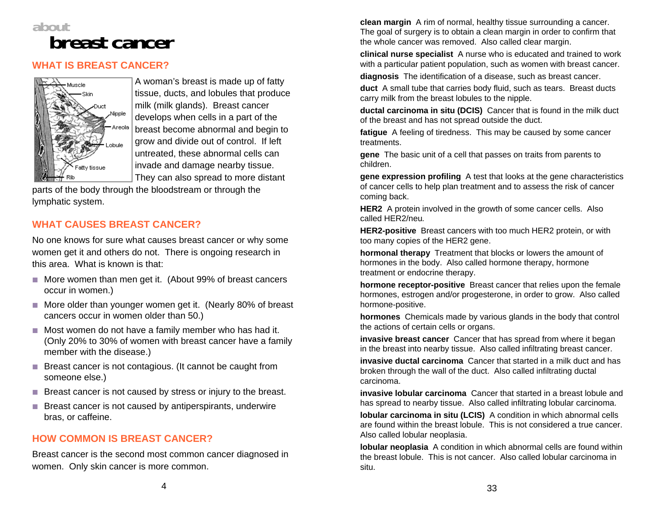

## **WHAT IS BREAST CANCER?**



A woman's breast is made up of fatty tissue, ducts, and lobules that produce milk (milk glands). Breast cancer develops when cells in a part of the breast become abnormal and begin to grow and divide out of control. If left untreated, these abnormal cells can invade and damage nearby tissue. They can also spread to more distant

parts of the body through the bloodstream or through the lymphatic system.

## **WHAT CAUSES BREAST CANCER?**

No one knows for sure what causes breast cancer or why some women get it and others do not. There is ongoing research in this area. What is known is that:

- More women than men get it. (About 99% of breast cancers occur in women.)
- More older than younger women get it. (Nearly 80% of breast cancers occur in women older than 50.)
- Most women do not have a family member who has had it. (Only 20% to 30% of women with breast cancer have a family member with the disease.)
- Breast cancer is not contagious. (It cannot be caught from someone else.)
- Breast cancer is not caused by stress or injury to the breast.
- **Breast cancer is not caused by antiperspirants, underwire** bras, or caffeine.

## **HOW COMMON IS BREAST CANCER?**

Breast cancer is the second most common cancer diagnosed in women. Only skin cancer is more common.

**clean margin** A rim of normal, healthy tissue surrounding a cancer. The goal of surgery is to obtain a clean margin in order to confirm that the whole cancer was removed. Also called clear margin.

**clinical nurse specialist** A nurse who is educated and trained to work with a particular patient population, such as women with breast cancer.

**diagnosis** The identification of a disease, such as breast cancer.

**duct** A small tube that carries body fluid, such as tears. Breast ducts carry milk from the breast lobules to the nipple.

**ductal carcinoma in situ (DCIS)** Cancer that is found in the milk duct of the breast and has not spread outside the duct.

**fatigue** A feeling of tiredness. This may be caused by some cancer treatments.

**gene** The basic unit of a cell that passes on traits from parents to children.

**gene expression profiling** A test that looks at the gene characteristics of cancer cells to help plan treatment and to assess the risk of cancer coming back.

**HER2** A protein involved in the growth of some cancer cells. Also called HER2/neu*.*

**HER2-positive** Breast cancers with too much HER2 protein, or with too many copies of the HER2 gene.

**hormonal therapy** Treatment that blocks or lowers the amount of hormones in the body. Also called hormone therapy, hormone treatment or endocrine therapy.

**hormone receptor-positive** Breast cancer that relies upon the female hormones, estrogen and/or progesterone, in order to grow. Also called hormone-positive.

**hormones** Chemicals made by various glands in the body that control the actions of certain cells or organs.

**invasive breast cancer** Cancer that has spread from where it began in the breast into nearby tissue. Also called infiltrating breast cancer.

**invasive ductal carcinoma** Cancer that started in a milk duct and has broken through the wall of the duct. Also called infiltrating ductal carcinoma.

**invasive lobular carcinoma** Cancer that started in a breast lobule and has spread to nearby tissue. Also called infiltrating lobular carcinoma.

**lobular carcinoma in situ (LCIS)** A condition in which abnormal cells are found within the breast lobule. This is not considered a true cancer. Also called lobular neoplasia.

**lobular neoplasia** A condition in which abnormal cells are found within the breast lobule. This is not cancer. Also called lobular carcinoma in situ.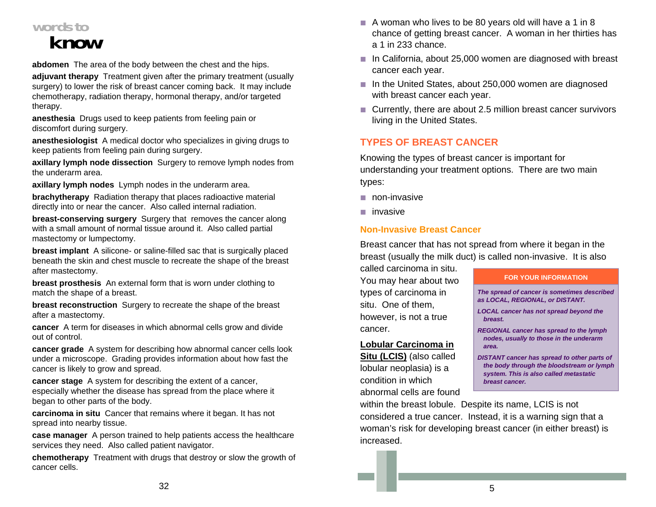# **words to**

# **know**

**abdomen** The area of the body between the chest and the hips.

**adjuvant therapy** Treatment given after the primary treatment (usually surgery) to lower the risk of breast cancer coming back. It may include chemotherapy, radiation therapy, hormonal therapy, and/or targeted therapy.

**anesthesia** Drugs used to keep patients from feeling pain or discomfort during surgery.

**anesthesiologist** A medical doctor who specializes in giving drugs to keep patients from feeling pain during surgery.

**axillary lymph node dissection** Surgery to remove lymph nodes from the underarm area.

**axillary lymph nodes** Lymph nodes in the underarm area.

**brachytherapy** Radiation therapy that places radioactive material directly into or near the cancer. Also called internal radiation.

**breast-conserving surgery** Surgery that removes the cancer along with a small amount of normal tissue around it. Also called partial mastectomy or lumpectomy.

**breast implant** A silicone- or saline-filled sac that is surgically placed beneath the skin and chest muscle to recreate the shape of the breast after mastectomy.

**breast prosthesis** An external form that is worn under clothing to match the shape of a breast.

**breast reconstruction** Surgery to recreate the shape of the breast after a mastectomy.

**cancer** A term for diseases in which abnormal cells grow and divide out of control.

**cancer grade** A system for describing how abnormal cancer cells look under a microscope. Grading provides information about how fast the cancer is likely to grow and spread.

**cancer stage** A system for describing the extent of a cancer, especially whether the disease has spread from the place where it began to other parts of the body.

**carcinoma in situ** Cancer that remains where it began. It has not spread into nearby tissue.

**case manager** A person trained to help patients access the healthcare services they need. Also called patient navigator.

**chemotherapy** Treatment with drugs that destroy or slow the growth of cancer cells.

- $\blacksquare$  A woman who lives to be 80 years old will have a 1 in 8 chance of getting breast cancer. A woman in her thirties has a 1 in 233 chance.
- In California, about 25,000 women are diagnosed with breast cancer each year.
- In the United States, about 250,000 women are diagnosed with breast cancer each year.
- Currently, there are about 2.5 million breast cancer survivors living in the United States.

## **TYPES OF BREAST CANCER**

Knowing the types of breast cancer is important for understanding your treatment options. There are two main types:

- $\blacksquare$  non-invasive
- **■** invasive

## **Non-Invasive Breast Cancer**

Breast cancer that has not spread from where it began in the breast (usually the milk duct) is called non-invasive. It is also

called carcinoma in situ. You may hear about two types of carcinoma in situ. One of them, however, is not a true cancer.

## **Lobular Carcinoma in**

**Situ (LCIS)** (also called lobular neoplasia) is a condition in which abnormal cells are found

#### **FOR YOUR INFORMATION**

*The spread of cancer is sometimes described as LOCAL, REGIONAL, or DISTANT.* 

*LOCAL cancer has not spread beyond the breast.* 

*REGIONAL cancer has spread to the lymph nodes, usually to those in the underarm area.* 

*DISTANT cancer has spread to other parts of the body through the bloodstream or lymph system. This is also called metastatic breast cancer.* 

within the breast lobule. Despite its name, LCIS is not considered a true cancer. Instead, it is a warning sign that a woman's risk for developing breast cancer (in either breast) is increased.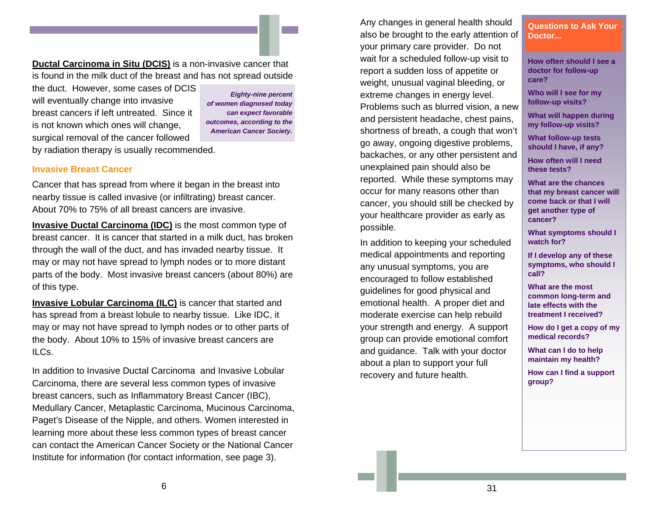**Ductal Carcinoma in Situ (DCIS)** is a non-invasive cancer that is found in the milk duct of the breast and has not spread outside

the duct. However, some cases of DCIS will eventually change into invasive breast cancers if left untreated. Since it is not known which ones will change, surgical removal of the cancer followed by radiation therapy is usually recommended.

*Eighty-nine percent of women diagnosed today can expect favorable outcomes, according to the American Cancer Society.* 

#### **Invasive Breast Cancer**

Cancer that has spread from where it began in the breast into nearby tissue is called invasive (or infiltrating) breast cancer. About 70% to 75% of all breast cancers are invasive.

**Invasive Ductal Carcinoma (IDC)** is the most common type of breast cancer. It is cancer that started in a milk duct, has broken through the wall of the duct, and has invaded nearby tissue. It may or may not have spread to lymph nodes or to more distant parts of the body. Most invasive breast cancers (about 80%) are of this type.

**Invasive Lobular Carcinoma (ILC)** is cancer that started and has spread from a breast lobule to nearby tissue. Like IDC, it may or may not have spread to lymph nodes or to other parts of the body. About 10% to 15% of invasive breast cancers are ILCs.

In addition to Invasive Ductal Carcinoma and Invasive Lobular Carcinoma, there are several less common types of invasive breast cancers, such as Inflammatory Breast Cancer (IBC), Medullary Cancer, Metaplastic Carcinoma, Mucinous Carcinoma, Paget's Disease of the Nipple, and others. Women interested in learning more about these less common types of breast cancer can contact the American Cancer Society or the National Cancer Institute for information (for contact information, see page 3).

Any changes in general health should also be brought to the early attention of your primary care provider. Do not wait for a scheduled follow-up visit to report a sudden loss of appetite or weight, unusual vaginal bleeding, or extreme changes in energy level. Problems such as blurred vision, a new and persistent headache, chest pains, shortness of breath, a cough that won't go away, ongoing digestive problems, backaches, or any other persistent and unexplained pain should also be reported. While these symptoms may occur for many reasons other than cancer, you should still be checked by your healthcare provider as early as possible.

In addition to keeping your scheduled medical appointments and reporting any unusual symptoms, you are encouraged to follow established guidelines for good physical and emotional health. A proper diet and moderate exercise can help rebuild your strength and energy. A support group can provide emotional comfort and guidance. Talk with your doctor about a plan to support your full recovery and future health.

**Questions to Ask Your Doctor...** 

**How often should I see a doctor for follow-up care?** 

**Who will I see for my follow-up visits?** 

**What will happen during my follow-up visits?** 

**What follow-up tests should I have, if any?** 

**How often will I need these tests?** 

**What are the chances that my breast cancer will come back or that I will get another type of cancer?** 

**What symptoms should I watch for?** 

**If I develop any of these symptoms, who should I call?** 

**What are the most common long-term and late effects with the treatment I received?** 

**How do I get a copy of my medical records?** 

**What can I do to help maintain my health?** 

**How can I find a support group?**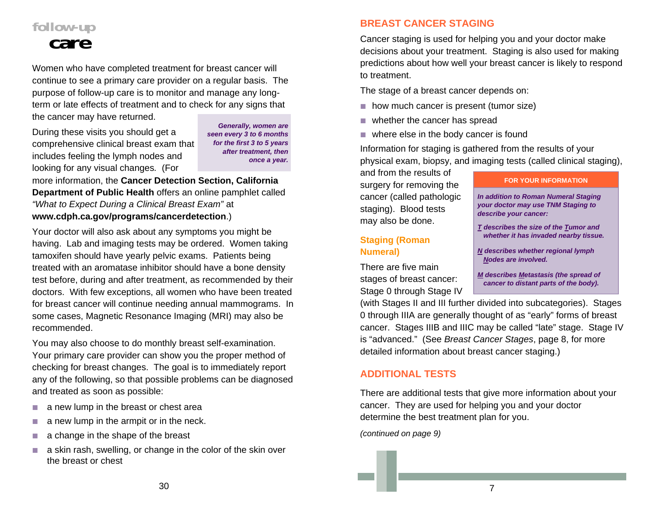## **follow-up care**

Women who have completed treatment for breast cancer will continue to see a primary care provider on a regular basis. The purpose of follow-up care is to monitor and manage any longterm or late effects of treatment and to check for any signs that the cancer may have returned.

During these visits you should get a comprehensive clinical breast exam that includes feeling the lymph nodes and looking for any visual changes*.* (For

*Generally, women are seen every 3 to 6 months for the first 3 to 5 years after treatment, then once a year.* 

more information, the **Cancer Detection Section, California Department of Public Health** offers an online pamphlet called *"What to Expect During a Clinical Breast Exam"* at **www.cdph.ca.gov/programs/cancerdetection**.)

Your doctor will also ask about any symptoms you might be having. Lab and imaging tests may be ordered. Women taking tamoxifen should have yearly pelvic exams. Patients being treated with an aromatase inhibitor should have a bone density test before, during and after treatment, as recommended by their doctors. With few exceptions, all women who have been treated for breast cancer will continue needing annual mammograms. In some cases, Magnetic Resonance Imaging (MRI) may also be recommended.

You may also choose to do monthly breast self-examination. Your primary care provider can show you the proper method of checking for breast changes. The goal is to immediately report any of the following, so that possible problems can be diagnosed and treated as soon as possible:

- $\mathcal{C}$ a new lump in the breast or chest area
- $\mathcal{L}_{\mathcal{A}}$ a new lump in the armpit or in the neck.
- L. a change in the shape of the breast
- $\mathcal{L}_{\mathcal{A}}$  a skin rash, swelling, or change in the color of the skin over the breast or chest

## **BREAST CANCER STAGING**

Cancer staging is used for helping you and your doctor make decisions about your treatment. Staging is also used for making predictions about how well your breast cancer is likely to respond to treatment.

The stage of a breast cancer depends on:

- **how much cancer is present (tumor size)**
- whether the cancer has spread
- where else in the body cancer is found

Information for staging is gathered from the results of your physical exam, biopsy, and imaging tests (called clinical staging),

and from the results of surgery for removing the cancer (called pathologic staging). Blood tests may also be done.

## **Staging (Roman Numeral)**

There are five main stages of breast cancer: Stage 0 through Stage IV

#### **FOR YOUR INFORMATION**

*In addition to Roman Numeral Staging your doctor may use TNM Staging to describe your cancer:* 

- *T describes the size of the Tumor and whether it has invaded nearby tissue.*
- *N describes whether regional lymph Nodes are involved.*
- *M describes Metastasis (the spread of cancer to distant parts of the body).*

(with Stages II and III further divided into subcategories). Stages 0 through IIIA are generally thought of as "early" forms of breast cancer. Stages IIIB and IIIC may be called "late" stage. Stage IV is "advanced." (See *Breast Cancer Stages*, page 8, for more detailed information about breast cancer staging.)

## **ADDITIONAL TESTS**

There are additional tests that give more information about your cancer. They are used for helping you and your doctor determine the best treatment plan for you.

*(continued on page 9)*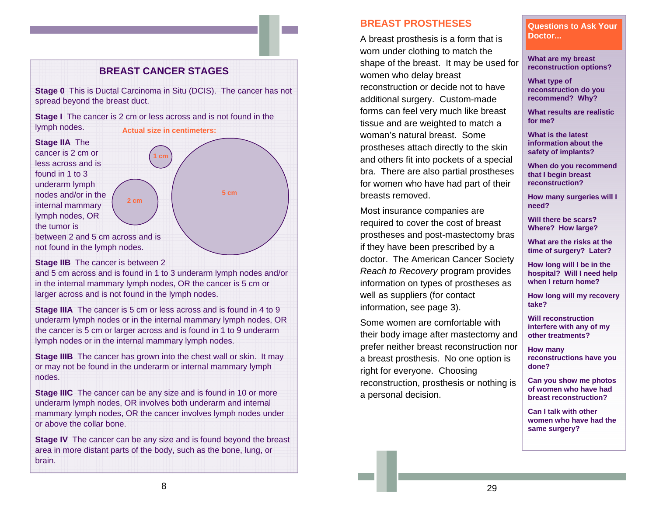## **BREAST CANCER STAGES**

**Stage 0** This is Ductal Carcinoma in Situ (DCIS). The cancer has not spread beyond the breast duct.

**Stage I** The cancer is 2 cm or less across and is not found in the lymph nodes. **Actual size in centimeters:** 

 **1 cm** 

 **2 cm** 

**Stage IIA** The cancer is 2 cm or less across and is found in 1 to 3 underarm lymph nodes and/or in the internal mammary lymph nodes, OR the tumor is

**5 cm** 

between 2 and 5 cm across and is not found in the lymph nodes.

**Stage IIB** The cancer is between 2

and 5 cm across and is found in 1 to 3 underarm lymph nodes and/or in the internal mammary lymph nodes, OR the cancer is 5 cm or larger across and is not found in the lymph nodes.

**Stage IIIA** The cancer is 5 cm or less across and is found in 4 to 9 underarm lymph nodes or in the internal mammary lymph nodes, OR the cancer is 5 cm or larger across and is found in 1 to 9 underarm lymph nodes or in the internal mammary lymph nodes.

**Stage IIIB** The cancer has grown into the chest wall or skin. It may or may not be found in the underarm or internal mammary lymph nodes.

**Stage IIIC** The cancer can be any size and is found in 10 or more underarm lymph nodes, OR involves both underarm and internal mammary lymph nodes, OR the cancer involves lymph nodes under or above the collar bone.

**Stage IV** The cancer can be any size and is found beyond the breast area in more distant parts of the body, such as the bone, lung, or brain.

#### **BREAST PROSTHESES**

A breast prosthesis is a form that is worn under clothing to match the shape of the breast. It may be used for women who delay breast reconstruction or decide not to have additional surgery. Custom-made forms can feel very much like breast tissue and are weighted to match a woman's natural breast. Some prostheses attach directly to the skin and others fit into pockets of a special bra. There are also partial prostheses for women who have had part of their breasts removed.

Most insurance companies are required to cover the cost of breast prostheses and post-mastectomy bras if they have been prescribed by a doctor. The American Cancer Society *Reach to Recovery* program provides information on types of prostheses as well as suppliers (for contact information, see page 3).

Some women are comfortable with their body image after mastectomy and prefer neither breast reconstruction nor a breast prosthesis. No one option is right for everyone. Choosing reconstruction, prosthesis or nothing is a personal decision.

 **Questions to Ask Your Doctor...** 

**What are my breast reconstruction options?** 

**What type of reconstruction do you recommend? Why?** 

**What results are realistic for me?** 

**What is the latest information about the safety of implants?** 

**When do you recommend that I begin breast reconstruction?** 

**How many surgeries will I need?** 

**Will there be scars? Where? How large?** 

**What are the risks at the time of surgery? Later?** 

**How long will I be in the hospital? Will I need help when I return home?** 

**How long will my recovery take?** 

**Will reconstruction interfere with any of my other treatments?** 

**How many reconstructions have you done?** 

**Can you show me photos of women who have had breast reconstruction?** 

**Can I talk with other women who have had the same surgery?**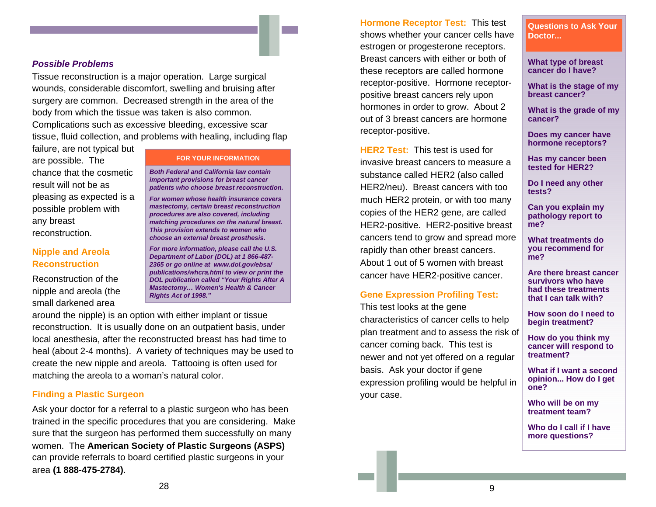#### *Possible Problems*

Tissue reconstruction is a major operation. Large surgical wounds, considerable discomfort, swelling and bruising after surgery are common. Decreased strength in the area of the body from which the tissue was taken is also common.

Complications such as excessive bleeding, excessive scar tissue, fluid collection, and problems with healing, including flap

failure, are not typical but are possible. The chance that the cosmetic result will not be as pleasing as expected is a possible problem with any breast reconstruction.

#### **Nipple and Areola Reconstruction**

Reconstruction of the nipple and areola (the small darkened area

#### **FOR YOUR INFORMATION**

*Both Federal and California law contain important provisions for breast cancer patients who choose breast reconstruction.* 

*For women whose health insurance covers mastectomy, certain breast reconstruction procedures are also covered, including matching procedures on the natural breast. This provision extends to women who choose an external breast prosthesis.* 

*For more information, please call the U.S. Department of Labor (DOL) at 1 866-487- 2365 or go online at www.dol.gov/ebsa/ publications/whcra.html to view or print the DOL publication called "Your Rights After A Mastectomy… Women's Health & Cancer Rights Act of 1998."* 

around the nipple) is an option with either implant or tissue reconstruction. It is usually done on an outpatient basis, under local anesthesia, after the reconstructed breast has had time to heal (about 2-4 months). A variety of techniques may be used to create the new nipple and areola. Tattooing is often used for matching the areola to a woman's natural color.

#### **Finding a Plastic Surgeon**

Ask your doctor for a referral to a plastic surgeon who has been trained in the specific procedures that you are considering. Make sure that the surgeon has performed them successfully on many women. The **American Society of Plastic Surgeons (ASPS)** can provide referrals to board certified plastic surgeons in your area **(1 888-475-2784)**.

**Hormone Receptor Test:** This test shows whether your cancer cells have estrogen or progesterone receptors. Breast cancers with either or both of these receptors are called hormone receptor-positive. Hormone receptorpositive breast cancers rely upon hormones in order to grow. About 2 out of 3 breast cancers are hormone receptor-positive.

**HER2 Test:** This test is used for invasive breast cancers to measure a substance called HER2 (also called HER2/neu). Breast cancers with too much HER2 protein, or with too many copies of the HER2 gene, are called HER2-positive. HER2-positive breast cancers tend to grow and spread more rapidly than other breast cancers. About 1 out of 5 women with breast cancer have HER2-positive cancer.

#### **Gene Expression Profiling Test:**

This test looks at the gene characteristics of cancer cells to help plan treatment and to assess the risk of cancer coming back. This test is newer and not yet offered on a regular basis. Ask your doctor if gene expression profiling would be helpful in your case.

**Questions to Ask Your Doctor...** 

**What type of breast cancer do I have?** 

**What is the stage of my breast cancer?** 

**What is the grade of my cancer?** 

**Does my cancer have hormone receptors?** 

**Has my cancer been tested for HER2?** 

**Do I need any other tests?** 

**Can you explain my pathology report to me?** 

**What treatments do you recommend for me?** 

**Are there breast cancer survivors who have had these treatments that I can talk with?** 

**How soon do I need to begin treatment?** 

**How do you think my cancer will respond to treatment?** 

**What if I want a second opinion... How do I get one?** 

**Who will be on my treatment team?** 

**Who do I call if I have more questions?**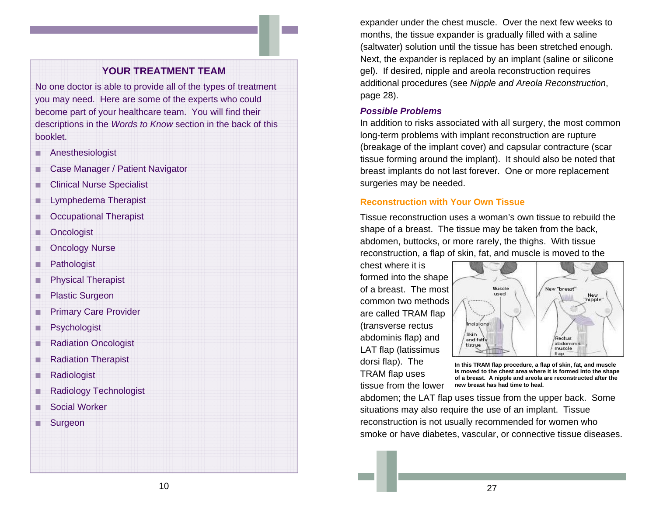## **YOUR TREATMENT TEAM**

No one doctor is able to provide all of the types of treatment you may need. Here are some of the experts who could become part of your healthcare team. You will find their descriptions in the *Words to Know* section in the back of this booklet.

- ۰ Anesthesiologist
- ۰ Case Manager / Patient Navigator
- ш Clinical Nurse Specialist
- п Lymphedema Therapist
- $\mathbb{Z}$ Occupational Therapist
- T ISB **Oncologist**
- п Oncology Nurse
- П **Pathologist**
- п Physical Therapist
- п Plastic Surgeon
- п Primary Care Provider
- o. **Psychologist**
- п Radiation Oncologist
- Radiation Therapist
- п **Radiologist**
- п Radiology Technologist
- <u>rang pa</u> Social Worker
- ٠ **Surgeon**

expander under the chest muscle. Over the next few weeks to months, the tissue expander is gradually filled with a saline (saltwater) solution until the tissue has been stretched enough. Next, the expander is replaced by an implant (saline or silicone gel). If desired, nipple and areola reconstruction requires additional procedures (see *Nipple and Areola Reconstruction*, page 28).

#### *Possible Problems*

In addition to risks associated with all surgery, the most common long-term problems with implant reconstruction are rupture (breakage of the implant cover) and capsular contracture (scar tissue forming around the implant). It should also be noted that breast implants do not last forever. One or more replacement surgeries may be needed.

#### **Reconstruction with Your Own Tissue**

Tissue reconstruction uses a woman's own tissue to rebuild the shape of a breast. The tissue may be taken from the back, abdomen, buttocks, or more rarely, the thighs. With tissue reconstruction, a flap of skin, fat, and muscle is moved to the

chest where it is formed into the shape of a breast. The most common two methods are called TRAM flap (transverse rectus abdominis flap) and LAT flap (latissimus dorsi flap). The TRAM flap uses tissue from the lower



**In this TRAM flap procedure, a flap of skin, fat, and muscle is moved to the chest area where it is formed into the shape of a breast. A nipple and areola are reconstructed after the new breast has had time to heal.** 

abdomen; the LAT flap uses tissue from the upper back. Some situations may also require the use of an implant. Tissue reconstruction is not usually recommended for women who smoke or have diabetes, vascular, or connective tissue diseases.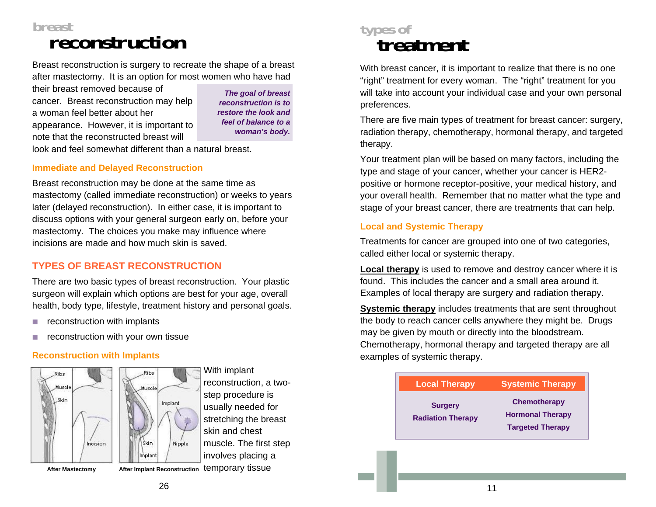## **breast reconstruction**

Breast reconstruction is surgery to recreate the shape of a breast after mastectomy. It is an option for most women who have had

their breast removed because of cancer. Breast reconstruction may help a woman feel better about her appearance. However, it is important to note that the reconstructed breast will

*The goal of breast reconstruction is to restore the look and feel of balance to a woman's body.* 

look and feel somewhat different than a natural breast.

## **Immediate and Delayed Reconstruction**

Breast reconstruction may be done at the same time as mastectomy (called immediate reconstruction) or weeks to years later (delayed reconstruction). In either case, it is important to discuss options with your general surgeon early on, before your mastectomy. The choices you make may influence where incisions are made and how much skin is saved.

## **TYPES OF BREAST RECONSTRUCTION**

There are two basic types of breast reconstruction. Your plastic surgeon will explain which options are best for your age, overall health, body type, lifestyle, treatment history and personal goals.

- $\mathcal{L}_{\mathcal{A}}$ reconstruction with implants
- m. reconstruction with your own tissue

## **Reconstruction with Implants**



With implant reconstruction, a twostep procedure is usually needed for stretching the breast skin and chest muscle. The first step involves placing a After Mastectomy **After Implant Reconstruction temporary tissue** 



With breast cancer, it is important to realize that there is no one "right" treatment for every woman. The "right" treatment for you will take into account your individual case and your own personal preferences.

There are five main types of treatment for breast cancer: surgery, radiation therapy, chemotherapy, hormonal therapy, and targeted therapy.

Your treatment plan will be based on many factors, including the type and stage of your cancer, whether your cancer is HER2 positive or hormone receptor-positive, your medical history, and your overall health. Remember that no matter what the type and stage of your breast cancer, there are treatments that can help.

## **Local and Systemic Therapy**

Treatments for cancer are grouped into one of two categories, called either local or systemic therapy.

**Local therapy** is used to remove and destroy cancer where it is found. This includes the cancer and a small area around it. Examples of local therapy are surgery and radiation therapy.

**Systemic therapy** includes treatments that are sent throughout the body to reach cancer cells anywhere they might be. Drugs may be given by mouth or directly into the bloodstream. Chemotherapy, hormonal therapy and targeted therapy are all examples of systemic therapy.

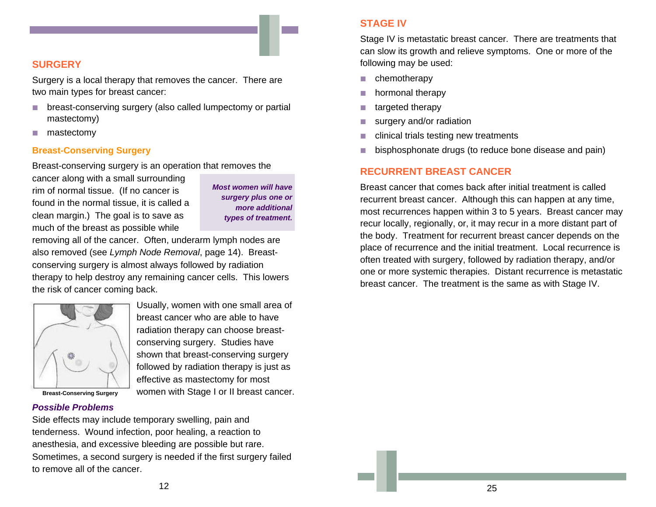## **SURGERY**

Surgery is a local therapy that removes the cancer. There are two main types for breast cancer:

- m. breast-conserving surgery (also called lumpectomy or partial mastectomy)
- m, mastectomy

#### **Breast-Conserving Surgery**

Breast-conserving surgery is an operation that removes the

cancer along with a small surrounding rim of normal tissue. (If no cancer is found in the normal tissue, it is called a clean margin.) The goal is to save as much of the breast as possible while

*Most women will have surgery plus one or more additional types of treatment.* 

removing all of the cancer. Often, underarm lymph nodes are also removed (see *Lymph Node Removal*, page 14). Breastconserving surgery is almost always followed by radiation therapy to help destroy any remaining cancer cells. This lowers the risk of cancer coming back.



Usually, women with one small area of breast cancer who are able to have radiation therapy can choose breastconserving surgery. Studies have shown that breast-conserving surgery followed by radiation therapy is just as effective as mastectomy for most women with Stage I or II breast cancer.

**Breast-Conserving Surgery** 

#### *Possible Problems*

Side effects may include temporary swelling, pain and tenderness. Wound infection, poor healing, a reaction to anesthesia, and excessive bleeding are possible but rare. Sometimes, a second surgery is needed if the first surgery failed to remove all of the cancer.

## **STAGE IV**

Stage IV is metastatic breast cancer. There are treatments that can slow its growth and relieve symptoms. One or more of the following may be used:

- m. chemotherapy
- m. hormonal therapy
- $\mathcal{L}_{\mathcal{A}}$ targeted therapy
- m. surgery and/or radiation
- m, clinical trials testing new treatments
- L. bisphosphonate drugs (to reduce bone disease and pain)

## **RECURRENT BREAST CANCER**

Breast cancer that comes back after initial treatment is called recurrent breast cancer. Although this can happen at any time, most recurrences happen within 3 to 5 years. Breast cancer may recur locally, regionally, or, it may recur in a more distant part of the body. Treatment for recurrent breast cancer depends on the place of recurrence and the initial treatment. Local recurrence is often treated with surgery, followed by radiation therapy, and/or one or more systemic therapies. Distant recurrence is metastatic breast cancer. The treatment is the same as with Stage IV.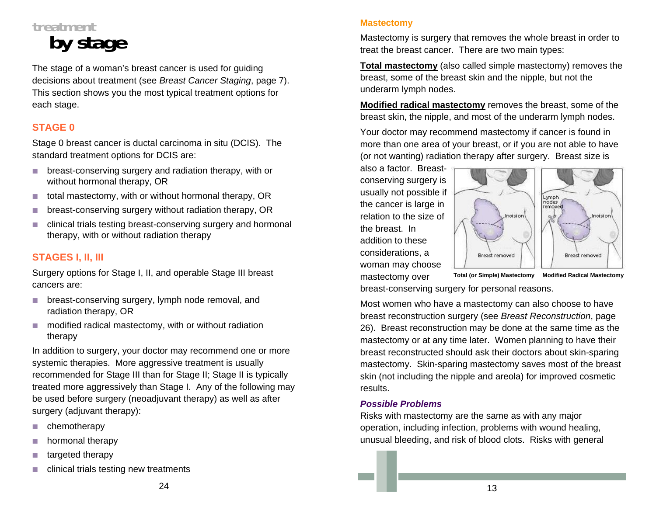# **treatmen by stage**

The stage of a woman's breast cancer is used for guiding decisions about treatment (see *Breast Cancer Staging*, page 7). This section shows you the most typical treatment options for each stage.

## **STAGE 0**

Stage 0 breast cancer is ductal carcinoma in situ (DCIS). The standard treatment options for DCIS are:

- breast-conserving surgery and radiation therapy, with or without hormonal therapy, OR
- m. total mastectomy, with or without hormonal therapy, OR
- T. breast-conserving surgery without radiation therapy, OR
- m. clinical trials testing breast-conserving surgery and hormonal therapy, with or without radiation therapy

## **STAGES I, II, III**

Surgery options for Stage I, II, and operable Stage III breast cancers are:

- **Deast-conserving surgery, lymph node removal, and** radiation therapy, OR
- m. modified radical mastectomy, with or without radiation therapy

In addition to surgery, your doctor may recommend one or more systemic therapies. More aggressive treatment is usually recommended for Stage III than for Stage II; Stage II is typically treated more aggressively than Stage I. Any of the following may be used before surgery (neoadjuvant therapy) as well as after surgery (adjuvant therapy):

- $\mathcal{L}_{\mathcal{A}}$ chemotherapy
- L. hormonal therapy
- П targeted therapy
- m. clinical trials testing new treatments

Mastectomy is surgery that removes the whole breast in order to treat the breast cancer. There are two main types:

**Total mastectomy** (also called simple mastectomy) removes the breast, some of the breast skin and the nipple, but not the underarm lymph nodes.

**Modified radical mastectomy** removes the breast, some of the breast skin, the nipple, and most of the underarm lymph nodes.

Your doctor may recommend mastectomy if cancer is found in more than one area of your breast, or if you are not able to have (or not wanting) radiation therapy after surgery. Breast size is

also a factor. Breastconserving surgery is usually not possible if the cancer is large in relation to the size of the breast. In addition to these considerations, a woman may choose mastectomy over



breast-conserving surgery for personal reasons.

Most women who have a mastectomy can also choose to have breast reconstruction surgery (see *Breast Reconstruction*, page 26). Breast reconstruction may be done at the same time as the mastectomy or at any time later. Women planning to have their breast reconstructed should ask their doctors about skin-sparing mastectomy. Skin-sparing mastectomy saves most of the breast skin (not including the nipple and areola) for improved cosmetic results.

## *Possible Problems*

Risks with mastectomy are the same as with any major operation, including infection, problems with wound healing, unusual bleeding, and risk of blood clots. Risks with general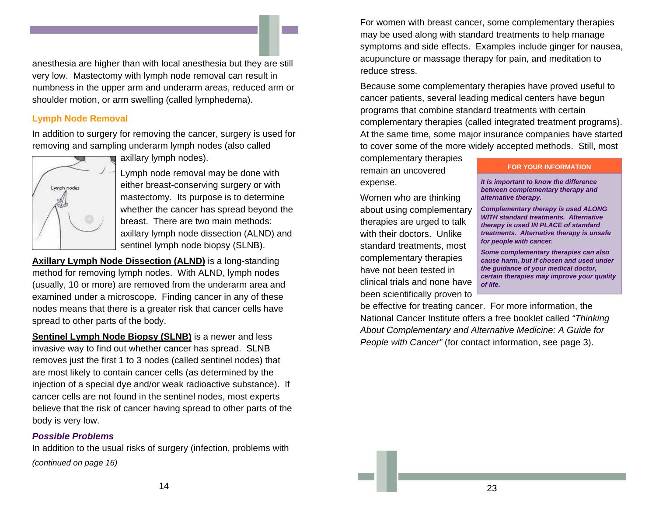anesthesia are higher than with local anesthesia but they are still very low. Mastectomy with lymph node removal can result in numbness in the upper arm and underarm areas, reduced arm or shoulder motion, or arm swelling (called lymphedema).

## **Lymph Node Removal**

In addition to surgery for removing the cancer, surgery is used for removing and sampling underarm lymph nodes (also called



axillary lymph nodes).

Lymph node removal may be done with either breast-conserving surgery or with mastectomy. Its purpose is to determine whether the cancer has spread beyond the breast. There are two main methods: axillary lymph node dissection (ALND) and sentinel lymph node biopsy (SLNB).

**Axillary Lymph Node Dissection (ALND)** is a long-standing method for removing lymph nodes. With ALND, lymph nodes (usually, 10 or more) are removed from the underarm area and examined under a microscope. Finding cancer in any of these nodes means that there is a greater risk that cancer cells have spread to other parts of the body.

**Sentinel Lymph Node Biopsy (SLNB)** is a newer and less invasive way to find out whether cancer has spread. SLNB removes just the first 1 to 3 nodes (called sentinel nodes) that are most likely to contain cancer cells (as determined by the injection of a special dye and/or weak radioactive substance). If cancer cells are not found in the sentinel nodes, most experts believe that the risk of cancer having spread to other parts of the body is very low.

#### *Possible Problems*

In addition to the usual risks of surgery (infection, problems with *(continued on page 16)* 

For women with breast cancer, some complementary therapies may be used along with standard treatments to help manage symptoms and side effects. Examples include ginger for nausea, acupuncture or massage therapy for pain, and meditation to reduce stress.

Because some complementary therapies have proved useful to cancer patients, several leading medical centers have begun programs that combine standard treatments with certain complementary therapies (called integrated treatment programs). At the same time, some major insurance companies have started to cover some of the more widely accepted methods. Still, most

complementary therapies remain an uncovered expense.

Women who are thinking about using complementary therapies are urged to talk with their doctors. Unlike standard treatments, most complementary therapies have not been tested in clinical trials and none have been scientifically proven to

#### **FOR YOUR INFORMATION**

*It is important to know the difference between complementary therapy and alternative therapy.* 

*Complementary therapy is used ALONG WITH standard treatments. Alternative therapy is used IN PLACE of standard treatments. Alternative therapy is unsafe for people with cancer.* 

*Some complementary therapies can also cause harm, but if chosen and used under the guidance of your medical doctor, certain therapies may improve your quality of life.* 

be effective for treating cancer. For more information, the National Cancer Institute offers a free booklet called *"Thinking About Complementary and Alternative Medicine: A Guide for People with Cancer"* (for contact information, see page 3).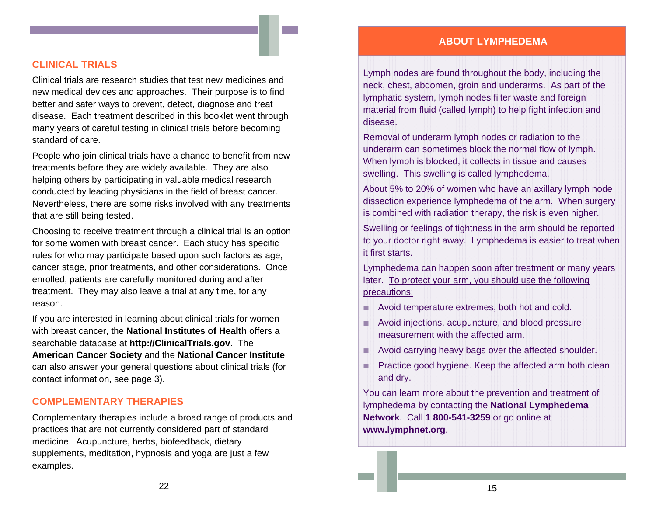## **ABOUT LYMPHEDEMA**

## **CLINICAL TRIALS**

Clinical trials are research studies that test new medicines and new medical devices and approaches. Their purpose is to find better and safer ways to prevent, detect, diagnose and treat disease. Each treatment described in this booklet went through many years of careful testing in clinical trials before becoming standard of care.

People who join clinical trials have a chance to benefit from new treatments before they are widely available. They are also helping others by participating in valuable medical research conducted by leading physicians in the field of breast cancer. Nevertheless, there are some risks involved with any treatments that are still being tested.

Choosing to receive treatment through a clinical trial is an option for some women with breast cancer. Each study has specific rules for who may participate based upon such factors as age, cancer stage, prior treatments, and other considerations. Once enrolled, patients are carefully monitored during and after treatment. They may also leave a trial at any time, for any reason.

If you are interested in learning about clinical trials for women with breast cancer, the **National Institutes of Health** offers a searchable database at **http://ClinicalTrials.gov**. The **American Cancer Society** and the **National Cancer Institute**  can also answer your general questions about clinical trials (for contact information, see page 3).

## **COMPLEMENTARY THERAPIES**

Complementary therapies include a broad range of products and practices that are not currently considered part of standard medicine. Acupuncture, herbs, biofeedback, dietary supplements, meditation, hypnosis and yoga are just a few examples.

Lymph nodes are found throughout the body, including the neck, chest, abdomen, groin and underarms. As part of the lymphatic system, lymph nodes filter waste and foreign material from fluid (called lymph) to help fight infection and disease.

Removal of underarm lymph nodes or radiation to the underarm can sometimes block the normal flow of lymph. When lymph is blocked, it collects in tissue and causes swelling. This swelling is called lymphedema.

About 5% to 20% of women who have an axillary lymph node dissection experience lymphedema of the arm. When surgery is combined with radiation therapy, the risk is even higher.

Swelling or feelings of tightness in the arm should be reported to your doctor right away. Lymphedema is easier to treat when it first starts.

Lymphedema can happen soon after treatment or many years later. To protect your arm, you should use the following precautions:

- **Avoid temperature extremes, both hot and cold.**
- **Avoid injections, acupuncture, and blood pressure** measurement with the affected arm.
- **Avoid carrying heavy bags over the affected shoulder.**
- **Practice good hygiene. Keep the affected arm both clean** and dry.

You can learn more about the prevention and treatment of lymphedema by contacting the **National Lymphedema Network**. Call **1 800-541-3259** or go online at **www.lymphnet.org**.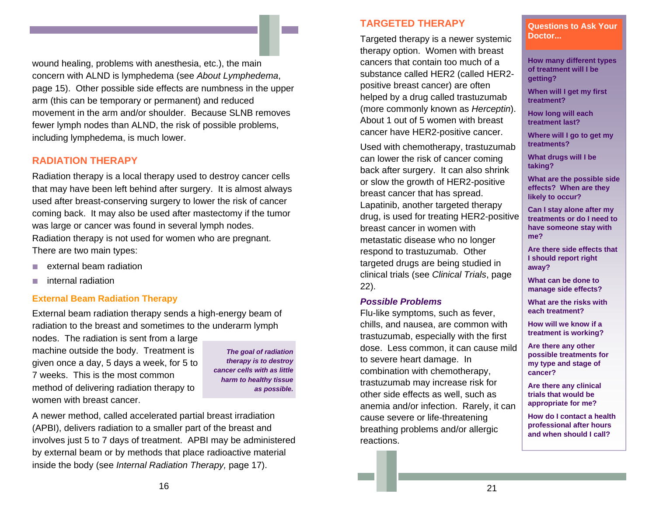wound healing, problems with anesthesia, etc.), the main concern with ALND is lymphedema (see *About Lymphedema*, page 15). Other possible side effects are numbness in the upper arm (this can be temporary or permanent) and reduced movement in the arm and/or shoulder. Because SLNB removes fewer lymph nodes than ALND, the risk of possible problems, including lymphedema, is much lower.

## **RADIATION THERAPY**

Radiation therapy is a local therapy used to destroy cancer cells that may have been left behind after surgery. It is almost always used after breast-conserving surgery to lower the risk of cancer coming back. It may also be used after mastectomy if the tumor was large or cancer was found in several lymph nodes. Radiation therapy is not used for women who are pregnant. There are two main types:

- **Contract** external beam radiation
- $\sim$ internal radiation

#### **External Beam Radiation Therapy**

External beam radiation therapy sends a high-energy beam of radiation to the breast and sometimes to the underarm lymph

nodes. The radiation is sent from a large machine outside the body. Treatment is given once a day, 5 days a week, for 5 to 7 weeks. This is the most common method of delivering radiation therapy to women with breast cancer.

*The goal of radiation therapy is to destroy cancer cells with as little harm to healthy tissue as possible.* 

A newer method, called accelerated partial breast irradiation (APBI), delivers radiation to a smaller part of the breast and involves just 5 to 7 days of treatment. APBI may be administered by external beam or by methods that place radioactive material inside the body (see *Internal Radiation Therapy,* page 17).

## **TARGETED THERAPY**

Targeted therapy is a newer systemic therapy option. Women with breast cancers that contain too much of a substance called HER2 (called HER2 positive breast cancer) are often helped by a drug called trastuzumab (more commonly known as *Herceptin*). About 1 out of 5 women with breast cancer have HER2-positive cancer.

Used with chemotherapy, trastuzumab can lower the risk of cancer coming back after surgery. It can also shrink or slow the growth of HER2-positive breast cancer that has spread. Lapatinib, another targeted therapy drug, is used for treating HER2-positive breast cancer in women with metastatic disease who no longer respond to trastuzumab. Other targeted drugs are being studied in clinical trials (see *Clinical Trials*, page 22).

#### *Possible Problems*

Flu-like symptoms, such as fever, chills, and nausea, are common with trastuzumab, especially with the first dose. Less common, it can cause mild to severe heart damage. In combination with chemotherapy, trastuzumab may increase risk for other side effects as well, such as anemia and/or infection. Rarely, it can cause severe or life-threatening breathing problems and/or allergic reactions.

 **Questions to Ask Your Doctor...** 

**How many different types of treatment will I be getting?** 

**When will I get my first treatment?** 

**How long will each treatment last?** 

**Where will I go to get my treatments?** 

**What drugs will I be taking?** 

**What are the possible side effects? When are they likely to occur?** 

**Can I stay alone after my treatments or do I need to have someone stay with me?** 

**Are there side effects that I should report right away?** 

**What can be done to manage side effects?** 

**What are the risks with each treatment?** 

**How will we know if a treatment is working?** 

**Are there any other possible treatments for my type and stage of cancer?** 

**Are there any clinical trials that would be appropriate for me?** 

**How do I contact a health professional after hours and when should I call?**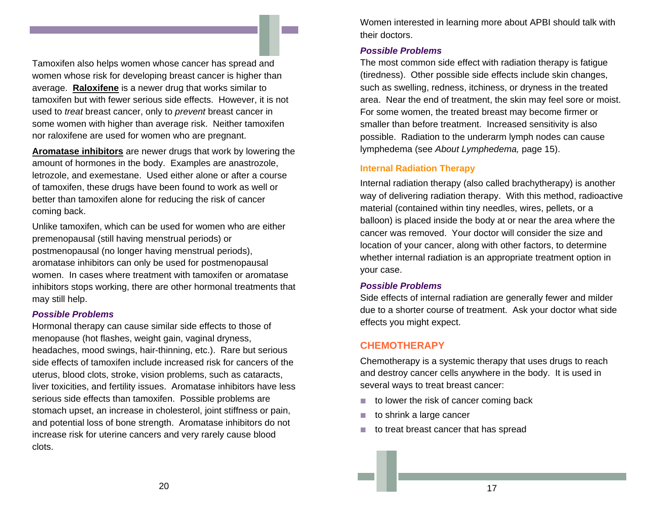Tamoxifen also helps women whose cancer has spread and women whose risk for developing breast cancer is higher than average. **Raloxifene** is a newer drug that works similar to tamoxifen but with fewer serious side effects. However, it is not used to *treat* breast cancer, only to *prevent* breast cancer in some women with higher than average risk. Neither tamoxifen nor raloxifene are used for women who are pregnant.

**Aromatase inhibitors** are newer drugs that work by lowering the amount of hormones in the body. Examples are anastrozole, letrozole, and exemestane. Used either alone or after a course of tamoxifen, these drugs have been found to work as well or better than tamoxifen alone for reducing the risk of cancer coming back.

Unlike tamoxifen, which can be used for women who are either premenopausal (still having menstrual periods) or postmenopausal (no longer having menstrual periods), aromatase inhibitors can only be used for postmenopausal women. In cases where treatment with tamoxifen or aromatase inhibitors stops working, there are other hormonal treatments that may still help.

#### *Possible Problems*

Hormonal therapy can cause similar side effects to those of menopause (hot flashes, weight gain, vaginal dryness, headaches, mood swings, hair-thinning, etc.). Rare but serious side effects of tamoxifen include increased risk for cancers of the uterus, blood clots, stroke, vision problems, such as cataracts, liver toxicities, and fertility issues. Aromatase inhibitors have less serious side effects than tamoxifen. Possible problems are stomach upset, an increase in cholesterol, joint stiffness or pain, and potential loss of bone strength. Aromatase inhibitors do not increase risk for uterine cancers and very rarely cause blood clots.

Women interested in learning more about APBI should talk with their doctors.

## *Possible Problems*

The most common side effect with radiation therapy is fatigue (tiredness). Other possible side effects include skin changes, such as swelling, redness, itchiness, or dryness in the treated area. Near the end of treatment, the skin may feel sore or moist. For some women, the treated breast may become firmer or smaller than before treatment. Increased sensitivity is also possible. Radiation to the underarm lymph nodes can cause lymphedema (see *About Lymphedema,* page 15).

## **Internal Radiation Therapy**

Internal radiation therapy (also called brachytherapy) is another way of delivering radiation therapy. With this method, radioactive material (contained within tiny needles, wires, pellets, or a balloon) is placed inside the body at or near the area where the cancer was removed. Your doctor will consider the size and location of your cancer, along with other factors, to determine whether internal radiation is an appropriate treatment option in your case.

#### *Possible Problems*

Side effects of internal radiation are generally fewer and milder due to a shorter course of treatment. Ask your doctor what side effects you might expect.

## **CHEMOTHERAPY**

Chemotherapy is a systemic therapy that uses drugs to reach and destroy cancer cells anywhere in the body. It is used in several ways to treat breast cancer:

- $\mathcal{L}_{\rm{max}}$ to lower the risk of cancer coming back
- **The State** to shrink a large cancer
- $\mathcal{L}_{\mathcal{A}}$ to treat breast cancer that has spread